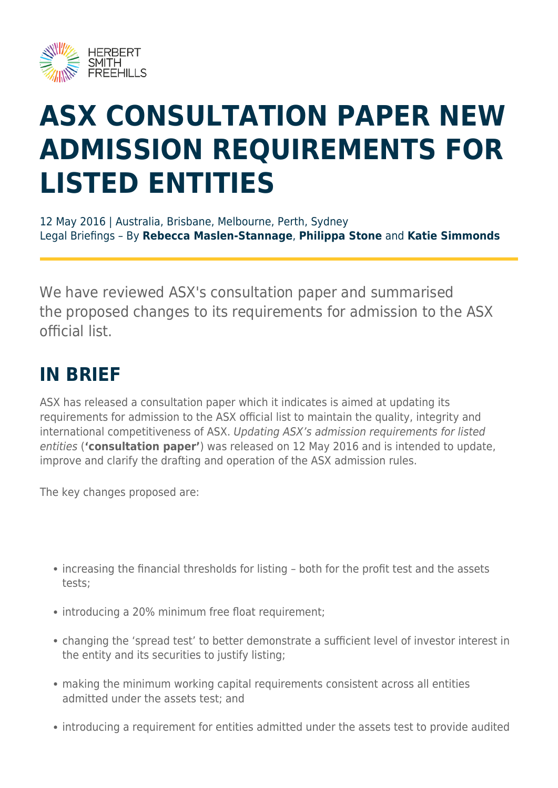

# **ASX CONSULTATION PAPER NEW ADMISSION REQUIREMENTS FOR LISTED ENTITIES**

12 May 2016 | Australia, Brisbane, Melbourne, Perth, Sydney Legal Briefings – By **Rebecca Maslen-Stannage**, **Philippa Stone** and **Katie Simmonds**

We have reviewed ASX's consultation paper and summarised the proposed changes to its requirements for admission to the ASX official list.

#### **IN BRIEF**

ASX has released a consultation paper which it indicates is aimed at updating its requirements for admission to the ASX official list to maintain the quality, integrity and international competitiveness of ASX. Updating ASX's admission requirements for listed entities (**'consultation paper'**) was released on 12 May 2016 and is intended to update, improve and clarify the drafting and operation of the ASX admission rules.

The key changes proposed are:

- increasing the financial thresholds for listing both for the profit test and the assets tests;
- introducing a 20% minimum free float requirement;
- changing the 'spread test' to better demonstrate a sufficient level of investor interest in the entity and its securities to justify listing;
- making the minimum working capital requirements consistent across all entities admitted under the assets test; and
- introducing a requirement for entities admitted under the assets test to provide audited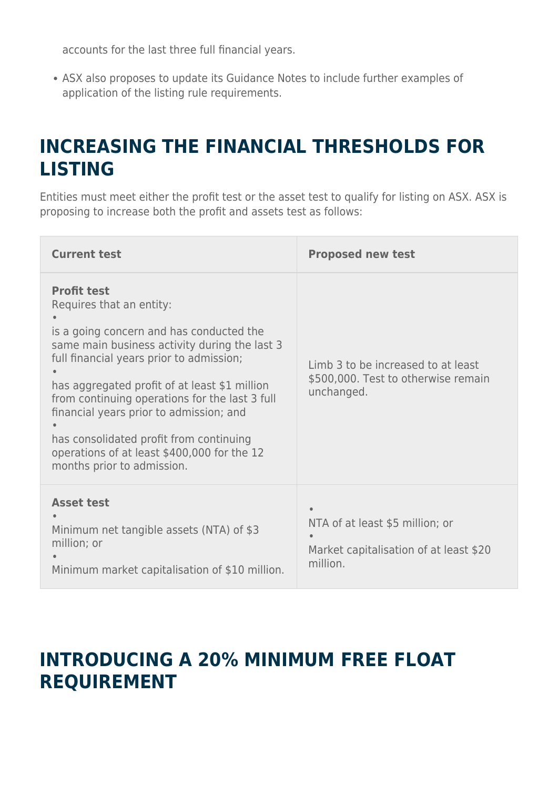accounts for the last three full financial years.

ASX also proposes to update its Guidance Notes to include further examples of application of the listing rule requirements.

## **INCREASING THE FINANCIAL THRESHOLDS FOR LISTING**

Entities must meet either the profit test or the asset test to qualify for listing on ASX. ASX is proposing to increase both the profit and assets test as follows:

| <b>Current test</b>                                                                                                                                                                                                                                                                                                                                                                                                                                           | <b>Proposed new test</b>                                                                |
|---------------------------------------------------------------------------------------------------------------------------------------------------------------------------------------------------------------------------------------------------------------------------------------------------------------------------------------------------------------------------------------------------------------------------------------------------------------|-----------------------------------------------------------------------------------------|
| <b>Profit test</b><br>Requires that an entity:<br>is a going concern and has conducted the<br>same main business activity during the last 3<br>full financial years prior to admission;<br>has aggregated profit of at least \$1 million<br>from continuing operations for the last 3 full<br>financial years prior to admission; and<br>has consolidated profit from continuing<br>operations of at least \$400,000 for the 12<br>months prior to admission. | Limb 3 to be increased to at least<br>\$500,000. Test to otherwise remain<br>unchanged. |
| <b>Asset test</b><br>Minimum net tangible assets (NTA) of \$3<br>million; or<br>Minimum market capitalisation of \$10 million.                                                                                                                                                                                                                                                                                                                                | NTA of at least \$5 million; or<br>Market capitalisation of at least \$20<br>million.   |

#### **INTRODUCING A 20% MINIMUM FREE FLOAT REQUIREMENT**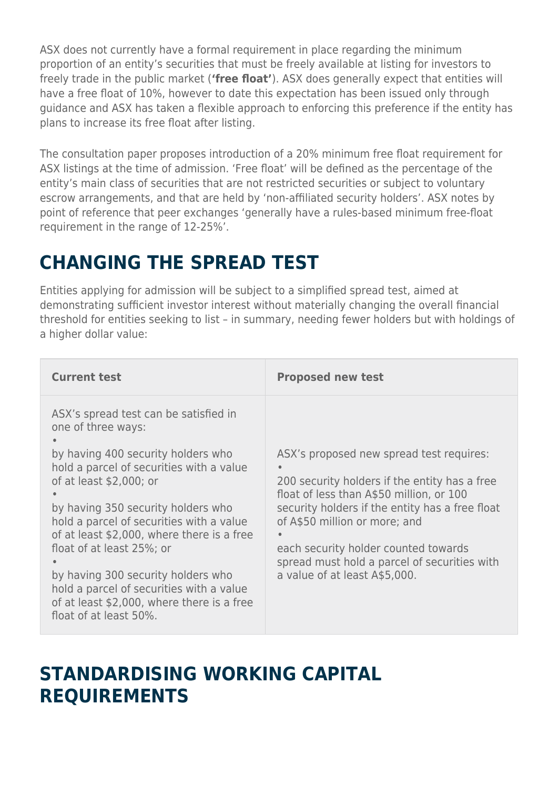ASX does not currently have a formal requirement in place regarding the minimum proportion of an entity's securities that must be freely available at listing for investors to freely trade in the public market (**'free float'**). ASX does generally expect that entities will have a free float of 10%, however to date this expectation has been issued only through guidance and ASX has taken a flexible approach to enforcing this preference if the entity has plans to increase its free float after listing.

The consultation paper proposes introduction of a 20% minimum free float requirement for ASX listings at the time of admission. 'Free float' will be defined as the percentage of the entity's main class of securities that are not restricted securities or subject to voluntary escrow arrangements, and that are held by 'non-affiliated security holders'. ASX notes by point of reference that peer exchanges 'generally have a rules-based minimum free-float requirement in the range of 12-25%'.

## **CHANGING THE SPREAD TEST**

Entities applying for admission will be subject to a simplified spread test, aimed at demonstrating sufficient investor interest without materially changing the overall financial threshold for entities seeking to list – in summary, needing fewer holders but with holdings of a higher dollar value:

| <b>Current test</b>                                                                                                                                                                                                                                                                                                                                                                                                                                                                             | <b>Proposed new test</b>                                                                                                                                                                                                                                                                                                                           |
|-------------------------------------------------------------------------------------------------------------------------------------------------------------------------------------------------------------------------------------------------------------------------------------------------------------------------------------------------------------------------------------------------------------------------------------------------------------------------------------------------|----------------------------------------------------------------------------------------------------------------------------------------------------------------------------------------------------------------------------------------------------------------------------------------------------------------------------------------------------|
| ASX's spread test can be satisfied in<br>one of three ways:<br>by having 400 security holders who<br>hold a parcel of securities with a value<br>of at least \$2,000; or<br>by having 350 security holders who<br>hold a parcel of securities with a value<br>of at least \$2,000, where there is a free<br>float of at least 25%; or<br>by having 300 security holders who<br>hold a parcel of securities with a value<br>of at least \$2,000, where there is a free<br>float of at least 50%. | ASX's proposed new spread test requires:<br>200 security holders if the entity has a free<br>float of less than A\$50 million, or 100<br>security holders if the entity has a free float<br>of A\$50 million or more; and<br>each security holder counted towards<br>spread must hold a parcel of securities with<br>a value of at least A\$5,000. |

#### **STANDARDISING WORKING CAPITAL REQUIREMENTS**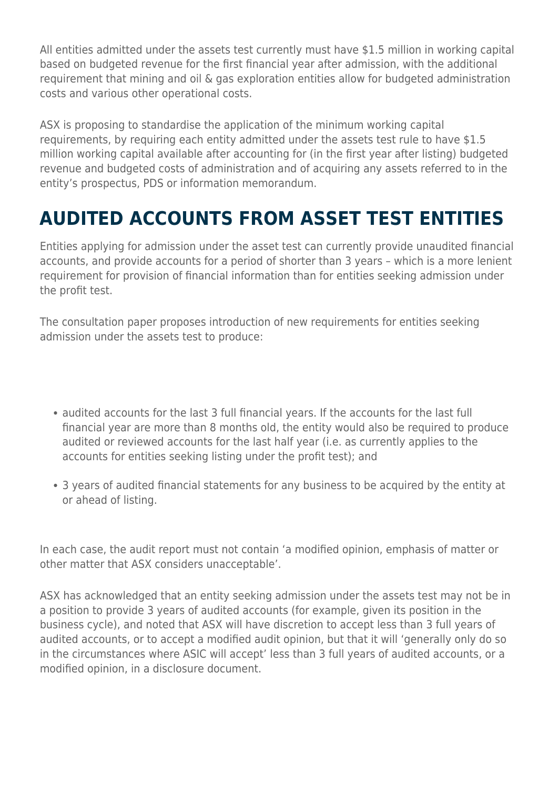All entities admitted under the assets test currently must have \$1.5 million in working capital based on budgeted revenue for the first financial year after admission, with the additional requirement that mining and oil & gas exploration entities allow for budgeted administration costs and various other operational costs.

ASX is proposing to standardise the application of the minimum working capital requirements, by requiring each entity admitted under the assets test rule to have \$1.5 million working capital available after accounting for (in the first year after listing) budgeted revenue and budgeted costs of administration and of acquiring any assets referred to in the entity's prospectus, PDS or information memorandum.

# **AUDITED ACCOUNTS FROM ASSET TEST ENTITIES**

Entities applying for admission under the asset test can currently provide unaudited financial accounts, and provide accounts for a period of shorter than 3 years – which is a more lenient requirement for provision of financial information than for entities seeking admission under the profit test.

The consultation paper proposes introduction of new requirements for entities seeking admission under the assets test to produce:

- audited accounts for the last 3 full financial years. If the accounts for the last full financial year are more than 8 months old, the entity would also be required to produce audited or reviewed accounts for the last half year (i.e. as currently applies to the accounts for entities seeking listing under the profit test); and
- 3 years of audited financial statements for any business to be acquired by the entity at or ahead of listing.

In each case, the audit report must not contain 'a modified opinion, emphasis of matter or other matter that ASX considers unacceptable'.

ASX has acknowledged that an entity seeking admission under the assets test may not be in a position to provide 3 years of audited accounts (for example, given its position in the business cycle), and noted that ASX will have discretion to accept less than 3 full years of audited accounts, or to accept a modified audit opinion, but that it will 'generally only do so in the circumstances where ASIC will accept' less than 3 full years of audited accounts, or a modified opinion, in a disclosure document.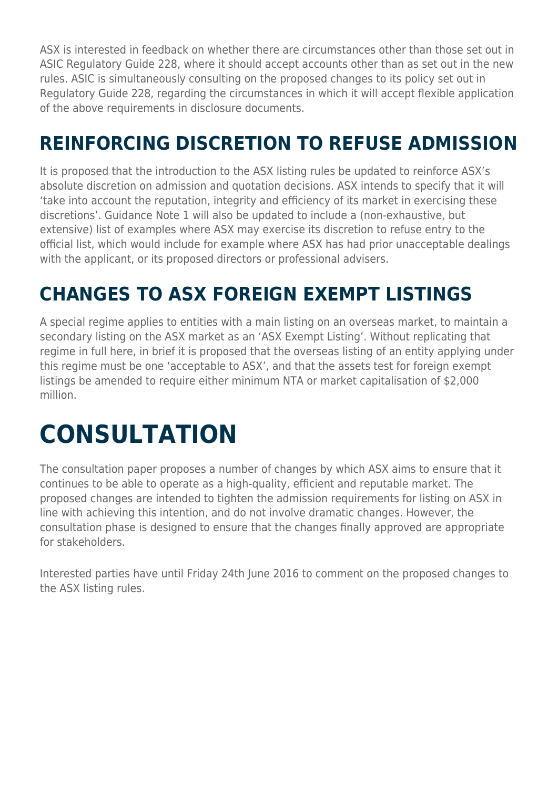ASX is interested in feedback on whether there are circumstances other than those set out in ASIC Regulatory Guide 228, where it should accept accounts other than as set out in the new rules. ASIC is simultaneously consulting on the proposed changes to its policy set out in Regulatory Guide 228, regarding the circumstances in which it will accept flexible application of the above requirements in disclosure documents.

# **REINFORCING DISCRETION TO REFUSE ADMISSION**

It is proposed that the introduction to the ASX listing rules be updated to reinforce ASX's absolute discretion on admission and quotation decisions. ASX intends to specify that it will 'take into account the reputation, integrity and efficiency of its market in exercising these discretions'. Guidance Note 1 will also be updated to include a (non-exhaustive, but extensive) list of examples where ASX may exercise its discretion to refuse entry to the official list, which would include for example where ASX has had prior unacceptable dealings with the applicant, or its proposed directors or professional advisers.

## **CHANGES TO ASX FOREIGN EXEMPT LISTINGS**

A special regime applies to entities with a main listing on an overseas market, to maintain a secondary listing on the ASX market as an 'ASX Exempt Listing'. Without replicating that regime in full here, in brief it is proposed that the overseas listing of an entity applying under this regime must be one 'acceptable to ASX', and that the assets test for foreign exempt listings be amended to require either minimum NTA or market capitalisation of \$2,000 million.

# **CONSULTATION**

The consultation paper proposes a number of changes by which ASX aims to ensure that it continues to be able to operate as a high-quality, efficient and reputable market. The proposed changes are intended to tighten the admission requirements for listing on ASX in line with achieving this intention, and do not involve dramatic changes. However, the consultation phase is designed to ensure that the changes finally approved are appropriate for stakeholders.

Interested parties have until Friday 24th June 2016 to comment on the proposed changes to the ASX listing rules.